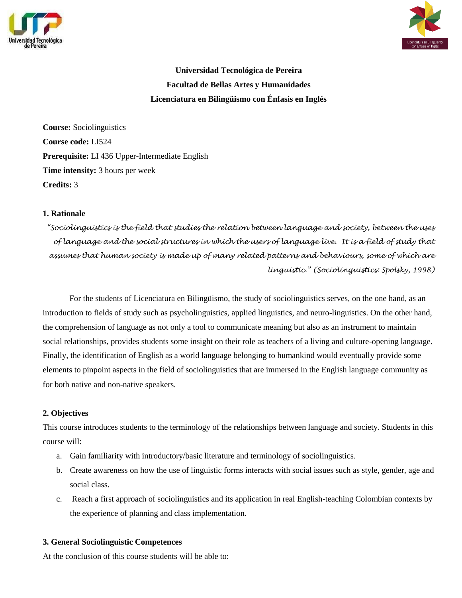



# **Universidad Tecnológica de Pereira Facultad de Bellas Artes y Humanidades Licenciatura en Bilingüismo con Énfasis en Inglés**

**Course:** Sociolinguistics **Course code:** LI524 **Prerequisite:** LI 436 Upper-Intermediate English **Time intensity:** 3 hours per week **Credits:** 3

#### **1. Rationale**

*"Sociolinguistics is the field that studies the relation between language and society, between the uses of language and the social structures in which the users of language live. It is a field of study that assumes that human society is made up of many related patterns and behaviours, some of which are linguistic." (Sociolinguistics: Spolsky, 1998)*

For the students of Licenciatura en Bilingüismo, the study of sociolinguistics serves, on the one hand, as an introduction to fields of study such as psycholinguistics, applied linguistics, and neuro-linguistics. On the other hand, the comprehension of language as not only a tool to communicate meaning but also as an instrument to maintain social relationships, provides students some insight on their role as teachers of a living and culture-opening language. Finally, the identification of English as a world language belonging to humankind would eventually provide some elements to pinpoint aspects in the field of sociolinguistics that are immersed in the English language community as for both native and non-native speakers.

# **2. Objectives**

This course introduces students to the terminology of the relationships between language and society. Students in this course will:

- a. Gain familiarity with introductory/basic literature and terminology of sociolinguistics.
- b. Create awareness on how the use of linguistic forms interacts with social issues such as style, gender, age and social class.
- c. Reach a first approach of sociolinguistics and its application in real English-teaching Colombian contexts by the experience of planning and class implementation.

# **3. General Sociolinguistic Competences**

At the conclusion of this course students will be able to: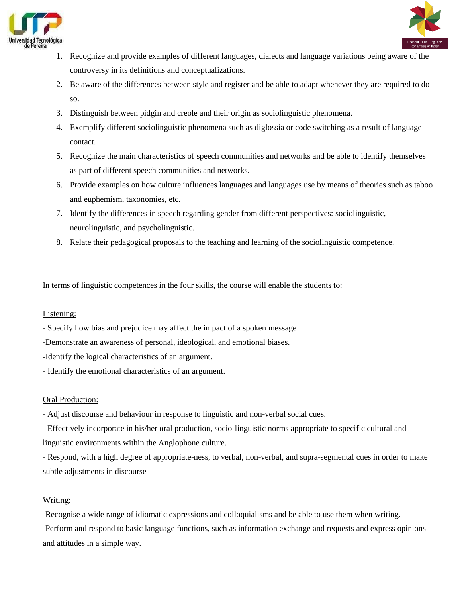



- 1. Recognize and provide examples of different languages, dialects and language variations being aware of the controversy in its definitions and conceptualizations.
- 2. Be aware of the differences between style and register and be able to adapt whenever they are required to do so.
- 3. Distinguish between pidgin and creole and their origin as sociolinguistic phenomena.
- 4. Exemplify different sociolinguistic phenomena such as diglossia or code switching as a result of language contact.
- 5. Recognize the main characteristics of speech communities and networks and be able to identify themselves as part of different speech communities and networks.
- 6. Provide examples on how culture influences languages and languages use by means of theories such as taboo and euphemism, taxonomies, etc.
- 7. Identify the differences in speech regarding gender from different perspectives: sociolinguistic, neurolinguistic, and psycholinguistic.
- 8. Relate their pedagogical proposals to the teaching and learning of the sociolinguistic competence.

In terms of linguistic competences in the four skills, the course will enable the students to:

# Listening:

- Specify how bias and prejudice may affect the impact of a spoken message

-Demonstrate an awareness of personal, ideological, and emotional biases.

-Identify the logical characteristics of an argument.

- Identify the emotional characteristics of an argument.

# Oral Production:

- Adjust discourse and behaviour in response to linguistic and non-verbal social cues.

- Effectively incorporate in his/her oral production, socio-linguistic norms appropriate to specific cultural and linguistic environments within the Anglophone culture.

- Respond, with a high degree of appropriate-ness, to verbal, non-verbal, and supra-segmental cues in order to make subtle adjustments in discourse

# Writing:

-Recognise a wide range of idiomatic expressions and colloquialisms and be able to use them when writing. -Perform and respond to basic language functions, such as information exchange and requests and express opinions and attitudes in a simple way.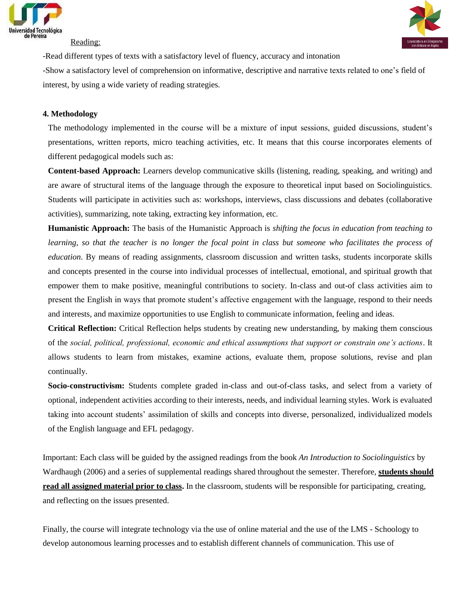

#### Reading:



-Read different types of texts with a satisfactory level of fluency, accuracy and intonation

-Show a satisfactory level of comprehension on informative, descriptive and narrative texts related to one's field of interest, by using a wide variety of reading strategies.

#### **4. Methodology**

The methodology implemented in the course will be a mixture of input sessions, guided discussions, student's presentations, written reports, micro teaching activities, etc. It means that this course incorporates elements of different pedagogical models such as:

**Content-based Approach:** Learners develop communicative skills (listening, reading, speaking, and writing) and are aware of structural items of the language through the exposure to theoretical input based on Sociolinguistics. Students will participate in activities such as: workshops, interviews, class discussions and debates (collaborative activities), summarizing, note taking, extracting key information, etc.

**Humanistic Approach:** The basis of the Humanistic Approach is *shifting the focus in education from teaching to learning, so that the teacher is no longer the focal point in class but someone who facilitates the process of education*. By means of reading assignments, classroom discussion and written tasks, students incorporate skills and concepts presented in the course into individual processes of intellectual, emotional, and spiritual growth that empower them to make positive, meaningful contributions to society. In-class and out-of class activities aim to present the English in ways that promote student's affective engagement with the language, respond to their needs and interests, and maximize opportunities to use English to communicate information, feeling and ideas.

**Critical Reflection:** Critical Reflection helps students by creating new understanding, by making them conscious of the *social, political, professional, economic and ethical assumptions that support or constrain one's actions*. It allows students to learn from mistakes, examine actions, evaluate them, propose solutions, revise and plan continually.

**Socio-constructivism:** Students complete graded in-class and out-of-class tasks, and select from a variety of optional, independent activities according to their interests, needs, and individual learning styles. Work is evaluated taking into account students' assimilation of skills and concepts into diverse, personalized, individualized models of the English language and EFL pedagogy.

Important: Each class will be guided by the assigned readings from the book *An Introduction to Sociolinguistics* by Wardhaugh (2006) and a series of supplemental readings shared throughout the semester. Therefore, **students should read all assigned material prior to class.** In the classroom, students will be responsible for participating, creating, and reflecting on the issues presented.

Finally, the course will integrate technology via the use of online material and the use of the LMS - Schoology to develop autonomous learning processes and to establish different channels of communication. This use of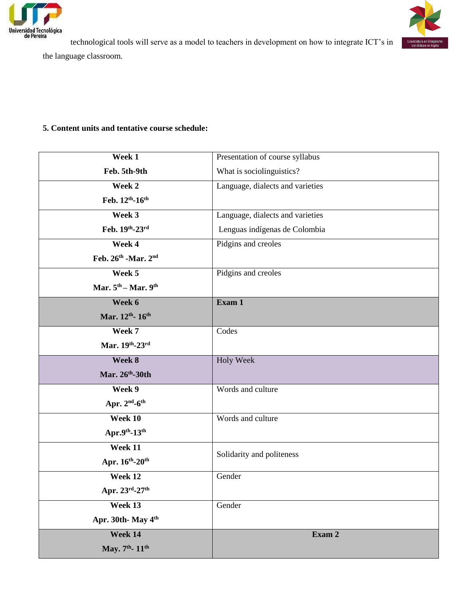



technological tools will serve as a model to teachers in development on how to integrate ICT's in

the language classroom.

# **5. Content units and tentative course schedule:**

| Week 1                                      | Presentation of course syllabus  |
|---------------------------------------------|----------------------------------|
| Feb. 5th-9th                                | What is sociolinguistics?        |
| Week 2                                      | Language, dialects and varieties |
| Feb. 12th-16th                              |                                  |
| Week 3                                      | Language, dialects and varieties |
| Feb. 19th-23rd                              | Lenguas indígenas de Colombia    |
| Week 4                                      | Pidgins and creoles              |
| Feb. 26th - Mar. 2nd                        |                                  |
| Week 5                                      | Pidgins and creoles              |
| Mar. 5 <sup>th</sup> – Mar. 9 <sup>th</sup> |                                  |
| Week 6                                      | Exam 1                           |
| Mar. 12th- 16th                             |                                  |
| Week 7                                      | Codes                            |
| Mar. 19th-23rd                              |                                  |
| Week 8                                      | Holy Week                        |
| Mar. 26th-30th                              |                                  |
| Week 9                                      | Words and culture                |
| Apr. $2nd$ -6 <sup>th</sup>                 |                                  |
| Week 10                                     | Words and culture                |
| Apr.9th- $13th$                             |                                  |
| Week 11                                     | Solidarity and politeness        |
| Apr. 16th-20th                              |                                  |
| Week 12                                     | Gender                           |
| Apr. $23^{\text{rd}}$ -27 <sup>th</sup>     |                                  |
| Week 13                                     | Gender                           |
| Apr. 30th-May 4th                           |                                  |
| Week 14                                     | Exam 2                           |
| May. 7th- 11th                              |                                  |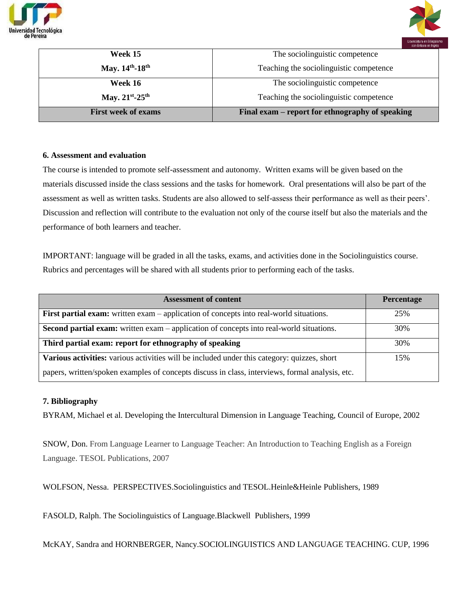



| <b>First week of exams</b> | Final exam – report for ethnography of speaking |
|----------------------------|-------------------------------------------------|
| May. $21^{st} - 25^{th}$   | Teaching the sociolinguistic competence         |
| Week 16                    | The sociolinguistic competence                  |
| May. 14th-18th             | Teaching the sociolinguistic competence         |
| Week 15                    | The sociolinguistic competence                  |
|                            |                                                 |

#### **6. Assessment and evaluation**

The course is intended to promote self-assessment and autonomy. Written exams will be given based on the materials discussed inside the class sessions and the tasks for homework. Oral presentations will also be part of the assessment as well as written tasks. Students are also allowed to self-assess their performance as well as their peers'. Discussion and reflection will contribute to the evaluation not only of the course itself but also the materials and the performance of both learners and teacher.

IMPORTANT: language will be graded in all the tasks, exams, and activities done in the Sociolinguistics course. Rubrics and percentages will be shared with all students prior to performing each of the tasks.

| <b>Assessment of content</b>                                                                    | Percentage |
|-------------------------------------------------------------------------------------------------|------------|
| <b>First partial exam:</b> written exam – application of concepts into real-world situations.   | 25%        |
| <b>Second partial exam:</b> written exam – application of concepts into real-world situations.  | 30%        |
| Third partial exam: report for ethnography of speaking                                          | 30%        |
| Various activities: various activities will be included under this category: quizzes, short     | 15%        |
| papers, written/spoken examples of concepts discuss in class, interviews, formal analysis, etc. |            |

#### **7. Bibliography**

BYRAM, Michael et al. Developing the Intercultural Dimension in Language Teaching, Council of Europe, 2002

SNOW, Don. From Language Learner to Language Teacher: An Introduction to Teaching English as a Foreign Language. TESOL Publications, 2007

WOLFSON, Nessa. PERSPECTIVES.Sociolinguistics and TESOL.Heinle&Heinle Publishers, 1989

FASOLD, Ralph. The Sociolinguistics of Language.Blackwell Publishers, 1999

McKAY, Sandra and HORNBERGER, Nancy.SOCIOLINGUISTICS AND LANGUAGE TEACHING. CUP, 1996